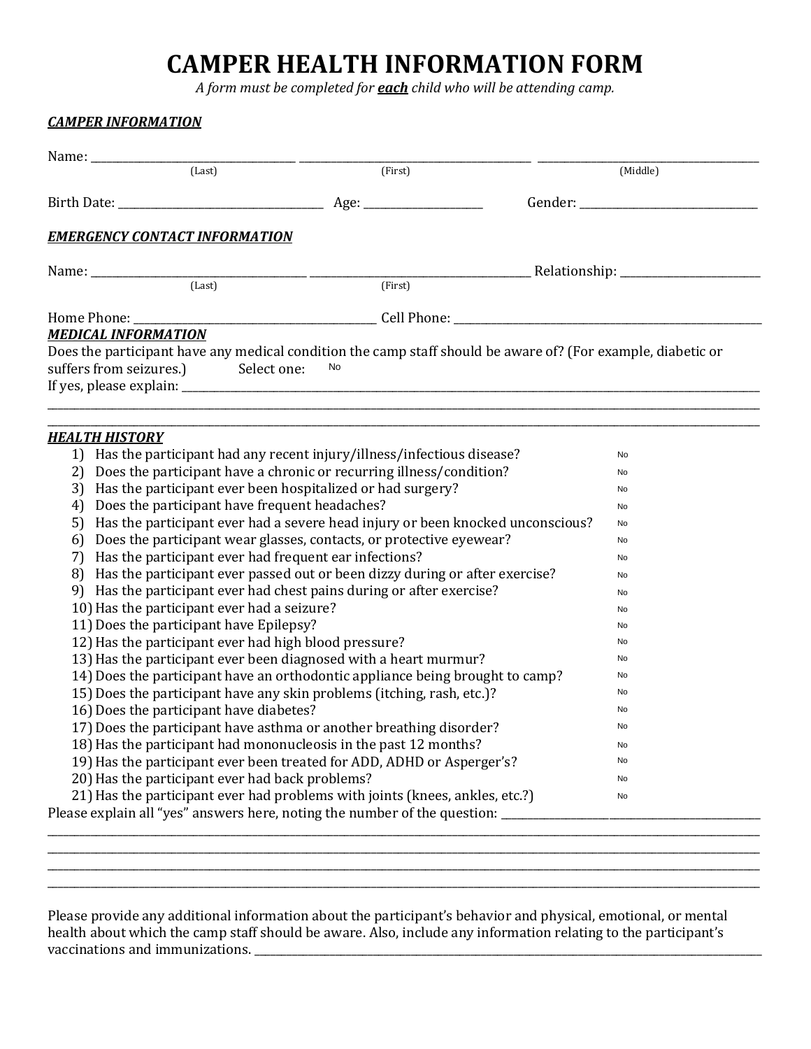# **CAMPER HEALTH INFORMATION FORM**

*A form must be completed for each child who will be attending camp.*

| (Last)                                                                                                                          | (First)                                                                      | (Middle)                                                                                                     |  |
|---------------------------------------------------------------------------------------------------------------------------------|------------------------------------------------------------------------------|--------------------------------------------------------------------------------------------------------------|--|
|                                                                                                                                 |                                                                              |                                                                                                              |  |
| <b>EMERGENCY CONTACT INFORMATION</b>                                                                                            |                                                                              |                                                                                                              |  |
| Name: $\frac{L}{Last}$                                                                                                          |                                                                              |                                                                                                              |  |
|                                                                                                                                 | (First)                                                                      |                                                                                                              |  |
|                                                                                                                                 |                                                                              |                                                                                                              |  |
| <b>MEDICAL INFORMATION</b>                                                                                                      |                                                                              |                                                                                                              |  |
|                                                                                                                                 |                                                                              | Does the participant have any medical condition the camp staff should be aware of? (For example, diabetic or |  |
| suffers from seizures.) Select one:                                                                                             | No                                                                           |                                                                                                              |  |
|                                                                                                                                 |                                                                              |                                                                                                              |  |
|                                                                                                                                 |                                                                              |                                                                                                              |  |
|                                                                                                                                 |                                                                              |                                                                                                              |  |
| <b>HEALTH HISTORY</b>                                                                                                           |                                                                              |                                                                                                              |  |
| 1) Has the participant had any recent injury/illness/infectious disease?                                                        | No                                                                           |                                                                                                              |  |
| 2) Does the participant have a chronic or recurring illness/condition?                                                          | No                                                                           |                                                                                                              |  |
| 3) Has the participant ever been hospitalized or had surgery?<br>4) Does the participant have frequent headaches?               | No                                                                           |                                                                                                              |  |
| Has the participant ever had a severe head injury or been knocked unconscious?                                                  | No                                                                           |                                                                                                              |  |
| 5)<br>6)                                                                                                                        | No<br>No                                                                     |                                                                                                              |  |
| Does the participant wear glasses, contacts, or protective eyewear?<br>7) Has the participant ever had frequent ear infections? |                                                                              | No                                                                                                           |  |
| 8) Has the participant ever passed out or been dizzy during or after exercise?                                                  |                                                                              | No                                                                                                           |  |
| 9) Has the participant ever had chest pains during or after exercise?                                                           |                                                                              | No                                                                                                           |  |
| 10) Has the participant ever had a seizure?                                                                                     | No                                                                           |                                                                                                              |  |
| 11) Does the participant have Epilepsy?                                                                                         | No                                                                           |                                                                                                              |  |
| 12) Has the participant ever had high blood pressure?                                                                           | No                                                                           |                                                                                                              |  |
| 13) Has the participant ever been diagnosed with a heart murmur?                                                                | No                                                                           |                                                                                                              |  |
| 14) Does the participant have an orthodontic appliance being brought to camp?                                                   | No                                                                           |                                                                                                              |  |
| 15) Does the participant have any skin problems (itching, rash, etc.)?                                                          | No                                                                           |                                                                                                              |  |
|                                                                                                                                 | No                                                                           |                                                                                                              |  |
|                                                                                                                                 | 17) Does the participant have asthma or another breathing disorder?          |                                                                                                              |  |
| 16) Does the participant have diabetes?                                                                                         |                                                                              | No                                                                                                           |  |
|                                                                                                                                 |                                                                              | No                                                                                                           |  |
|                                                                                                                                 | 18) Has the participant had mononucleosis in the past 12 months?             | No                                                                                                           |  |
|                                                                                                                                 | 19) Has the participant ever been treated for ADD, ADHD or Asperger's?       | No                                                                                                           |  |
| 20) Has the participant ever had back problems?                                                                                 | 21) Has the participant ever had problems with joints (knees, ankles, etc.?) | No                                                                                                           |  |

Please provide any additional information about the participant's behavior and physical, emotional, or mental health about which the camp staff should be aware. Also, include any information relating to the participant's vaccinations and immunizations. \_\_\_\_\_\_\_\_\_\_\_\_\_\_\_\_\_\_\_\_\_\_\_\_\_\_\_\_\_\_\_\_\_\_\_\_\_\_\_\_\_\_\_\_\_\_\_\_\_\_\_\_\_\_\_\_\_\_\_\_\_\_\_\_\_\_\_\_\_\_\_\_\_\_\_\_\_\_\_\_\_\_\_\_\_\_\_\_\_\_\_\_\_\_

\_\_\_\_\_\_\_\_\_\_\_\_\_\_\_\_\_\_\_\_\_\_\_\_\_\_\_\_\_\_\_\_\_\_\_\_\_\_\_\_\_\_\_\_\_\_\_\_\_\_\_\_\_\_\_\_\_\_\_\_\_\_\_\_\_\_\_\_\_\_\_\_\_\_\_\_\_\_\_\_\_\_\_\_\_\_\_\_\_\_\_\_\_\_\_\_\_\_\_\_\_\_\_\_\_\_\_\_\_\_\_\_\_\_\_\_\_\_\_\_\_\_\_\_\_\_\_\_\_\_\_\_ \_\_\_\_\_\_\_\_\_\_\_\_\_\_\_\_\_\_\_\_\_\_\_\_\_\_\_\_\_\_\_\_\_\_\_\_\_\_\_\_\_\_\_\_\_\_\_\_\_\_\_\_\_\_\_\_\_\_\_\_\_\_\_\_\_\_\_\_\_\_\_\_\_\_\_\_\_\_\_\_\_\_\_\_\_\_\_\_\_\_\_\_\_\_\_\_\_\_\_\_\_\_\_\_\_\_\_\_\_\_\_\_\_\_\_\_\_\_\_\_\_\_\_\_\_\_\_\_\_\_\_\_ \_\_\_\_\_\_\_\_\_\_\_\_\_\_\_\_\_\_\_\_\_\_\_\_\_\_\_\_\_\_\_\_\_\_\_\_\_\_\_\_\_\_\_\_\_\_\_\_\_\_\_\_\_\_\_\_\_\_\_\_\_\_\_\_\_\_\_\_\_\_\_\_\_\_\_\_\_\_\_\_\_\_\_\_\_\_\_\_\_\_\_\_\_\_\_\_\_\_\_\_\_\_\_\_\_\_\_\_\_\_\_\_\_\_\_\_\_\_\_\_\_\_\_\_\_\_\_\_\_\_\_\_